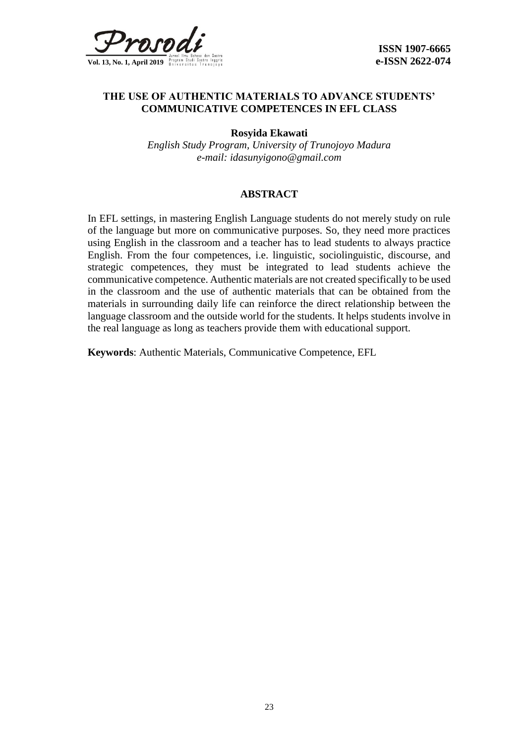

# **THE USE OF AUTHENTIC MATERIALS TO ADVANCE STUDENTS' COMMUNICATIVE COMPETENCES IN EFL CLASS**

**Rosyida Ekawati**

*English Study Program, University of Trunojoyo Madura e-mail: idasunyigono@gmail.com*

# **ABSTRACT**

In EFL settings, in mastering English Language students do not merely study on rule of the language but more on communicative purposes. So, they need more practices using English in the classroom and a teacher has to lead students to always practice English. From the four competences, i.e. linguistic, sociolinguistic, discourse, and strategic competences, they must be integrated to lead students achieve the communicative competence. Authentic materials are not created specifically to be used in the classroom and the use of authentic materials that can be obtained from the materials in surrounding daily life can reinforce the direct relationship between the language classroom and the outside world for the students. It helps students involve in the real language as long as teachers provide them with educational support.

**Keywords**: Authentic Materials, Communicative Competence, EFL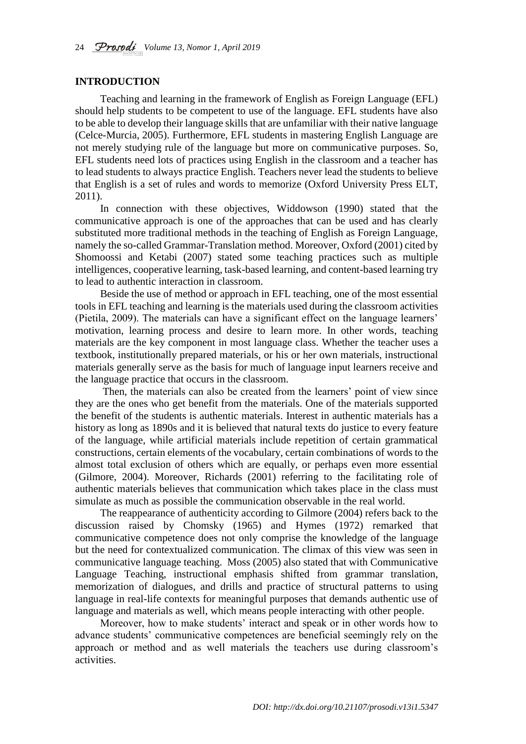# **INTRODUCTION**

Teaching and learning in the framework of English as Foreign Language (EFL) should help students to be competent to use of the language. EFL students have also to be able to develop their language skills that are unfamiliar with their native language (Celce-Murcia, 2005). Furthermore, EFL students in mastering English Language are not merely studying rule of the language but more on communicative purposes. So, EFL students need lots of practices using English in the classroom and a teacher has to lead students to always practice English. Teachers never lead the students to believe that English is a set of rules and words to memorize (Oxford University Press ELT, 2011).

In connection with these objectives, Widdowson (1990) stated that the communicative approach is one of the approaches that can be used and has clearly substituted more traditional methods in the teaching of English as Foreign Language, namely the so-called Grammar-Translation method. Moreover, Oxford (2001) cited by Shomoossi and Ketabi (2007) stated some teaching practices such as multiple intelligences, cooperative learning, task-based learning, and content-based learning try to lead to authentic interaction in classroom.

Beside the use of method or approach in EFL teaching, one of the most essential tools in EFL teaching and learning is the materials used during the classroom activities (Pietila, 2009). The materials can have a significant effect on the language learners' motivation, learning process and desire to learn more. In other words, teaching materials are the key component in most language class. Whether the teacher uses a textbook, institutionally prepared materials, or his or her own materials, instructional materials generally serve as the basis for much of language input learners receive and the language practice that occurs in the classroom.

Then, the materials can also be created from the learners' point of view since they are the ones who get benefit from the materials. One of the materials supported the benefit of the students is authentic materials. Interest in authentic materials has a history as long as 1890s and it is believed that natural texts do justice to every feature of the language, while artificial materials include repetition of certain grammatical constructions, certain elements of the vocabulary, certain combinations of words to the almost total exclusion of others which are equally, or perhaps even more essential (Gilmore, 2004). Moreover, Richards (2001) referring to the facilitating role of authentic materials believes that communication which takes place in the class must simulate as much as possible the communication observable in the real world.

The reappearance of authenticity according to Gilmore (2004) refers back to the discussion raised by Chomsky (1965) and Hymes (1972) remarked that communicative competence does not only comprise the knowledge of the language but the need for contextualized communication. The climax of this view was seen in communicative language teaching. Moss (2005) also stated that with Communicative Language Teaching, instructional emphasis shifted from grammar translation, memorization of dialogues, and drills and practice of structural patterns to using language in real-life contexts for meaningful purposes that demands authentic use of language and materials as well, which means people interacting with other people.

Moreover, how to make students' interact and speak or in other words how to advance students' communicative competences are beneficial seemingly rely on the approach or method and as well materials the teachers use during classroom's activities.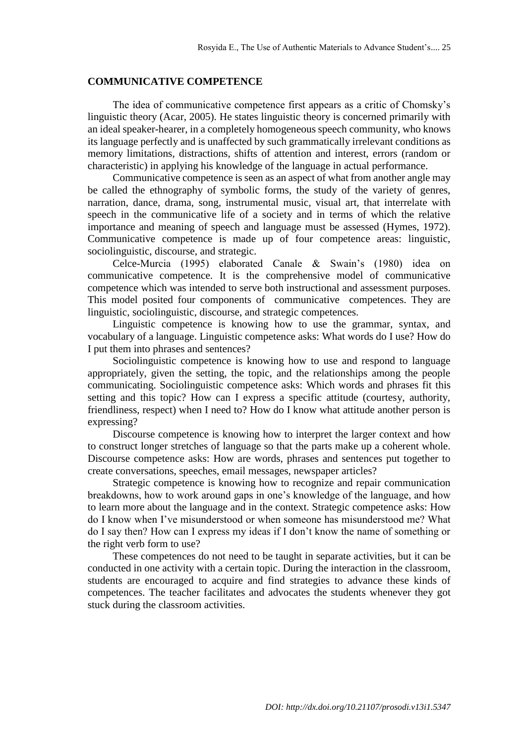### **COMMUNICATIVE COMPETENCE**

The idea of communicative competence first appears as a critic of Chomsky's linguistic theory (Acar, 2005). He states linguistic theory is concerned primarily with an ideal speaker-hearer, in a completely homogeneous speech community, who knows its language perfectly and is unaffected by such grammatically irrelevant conditions as memory limitations, distractions, shifts of attention and interest, errors (random or characteristic) in applying his knowledge of the language in actual performance.

Communicative competence is seen as an aspect of what from another angle may be called the ethnography of symbolic forms, the study of the variety of genres, narration, dance, drama, song, instrumental music, visual art, that interrelate with speech in the communicative life of a society and in terms of which the relative importance and meaning of speech and language must be assessed (Hymes, 1972). Communicative competence is made up of four competence areas: linguistic, sociolinguistic, discourse, and strategic.

Celce-Murcia (1995) elaborated Canale & Swain's (1980) idea on communicative competence. It is the comprehensive model of communicative competence which was intended to serve both instructional and assessment purposes. This model posited four components of communicative competences. They are linguistic, sociolinguistic, discourse, and strategic competences.

Linguistic competence is knowing how to use the grammar, syntax, and vocabulary of a language. Linguistic competence asks: What words do I use? How do I put them into phrases and sentences?

Sociolinguistic competence is knowing how to use and respond to language appropriately, given the setting, the topic, and the relationships among the people communicating. Sociolinguistic competence asks: Which words and phrases fit this setting and this topic? How can I express a specific attitude (courtesy, authority, friendliness, respect) when I need to? How do I know what attitude another person is expressing?

Discourse competence is knowing how to interpret the larger context and how to construct longer stretches of language so that the parts make up a coherent whole. Discourse competence asks: How are words, phrases and sentences put together to create conversations, speeches, email messages, newspaper articles?

Strategic competence is knowing how to recognize and repair communication breakdowns, how to work around gaps in one's knowledge of the language, and how to learn more about the language and in the context. Strategic competence asks: How do I know when I've misunderstood or when someone has misunderstood me? What do I say then? How can I express my ideas if I don't know the name of something or the right verb form to use?

These competences do not need to be taught in separate activities, but it can be conducted in one activity with a certain topic. During the interaction in the classroom, students are encouraged to acquire and find strategies to advance these kinds of competences. The teacher facilitates and advocates the students whenever they got stuck during the classroom activities.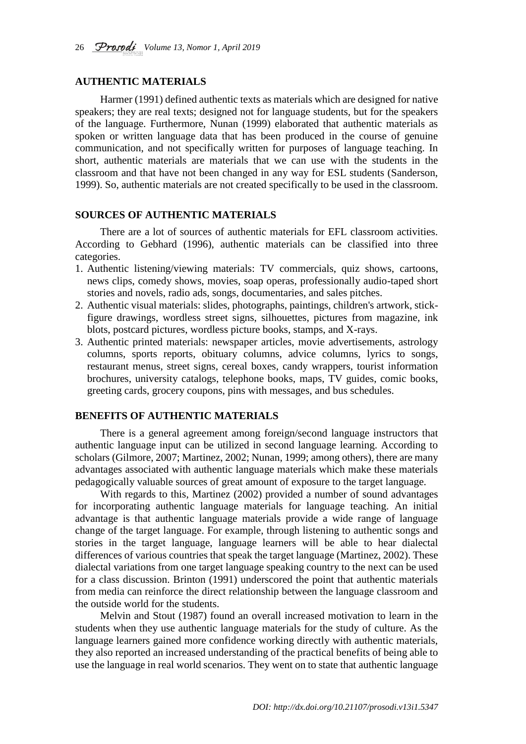# **AUTHENTIC MATERIALS**

Harmer (1991) defined authentic texts as materials which are designed for native speakers; they are real texts; designed not for language students, but for the speakers of the language. Furthermore, Nunan (1999) elaborated that authentic materials as spoken or written language data that has been produced in the course of genuine communication, and not specifically written for purposes of language teaching. In short, authentic materials are materials that we can use with the students in the classroom and that have not been changed in any way for ESL students (Sanderson, 1999). So, authentic materials are not created specifically to be used in the classroom.

# **SOURCES OF AUTHENTIC MATERIALS**

There are a lot of sources of authentic materials for EFL classroom activities. According to Gebhard (1996), authentic materials can be classified into three categories.

- 1. Authentic listening/viewing materials: TV commercials, quiz shows, cartoons, news clips, comedy shows, movies, soap operas, professionally audio-taped short stories and novels, radio ads, songs, documentaries, and sales pitches.
- 2. Authentic visual materials: slides, photographs, paintings, children's artwork, stickfigure drawings, wordless street signs, silhouettes, pictures from magazine, ink blots, postcard pictures, wordless picture books, stamps, and X-rays.
- 3. Authentic printed materials: newspaper articles, movie advertisements, astrology columns, sports reports, obituary columns, advice columns, lyrics to songs, restaurant menus, street signs, cereal boxes, candy wrappers, tourist information brochures, university catalogs, telephone books, maps, TV guides, comic books, greeting cards, grocery coupons, pins with messages, and bus schedules.

# **BENEFITS OF AUTHENTIC MATERIALS**

There is a general agreement among foreign/second language instructors that authentic language input can be utilized in second language learning. According to scholars (Gilmore, 2007; Martinez, 2002; Nunan, 1999; among others), there are many advantages associated with authentic language materials which make these materials pedagogically valuable sources of great amount of exposure to the target language.

With regards to this, Martinez (2002) provided a number of sound advantages for incorporating authentic language materials for language teaching. An initial advantage is that authentic language materials provide a wide range of language change of the target language. For example, through listening to authentic songs and stories in the target language, language learners will be able to hear dialectal differences of various countries that speak the target language (Martinez, 2002). These dialectal variations from one target language speaking country to the next can be used for a class discussion. Brinton (1991) underscored the point that authentic materials from media can reinforce the direct relationship between the language classroom and the outside world for the students.

Melvin and Stout (1987) found an overall increased motivation to learn in the students when they use authentic language materials for the study of culture. As the language learners gained more confidence working directly with authentic materials, they also reported an increased understanding of the practical benefits of being able to use the language in real world scenarios. They went on to state that authentic language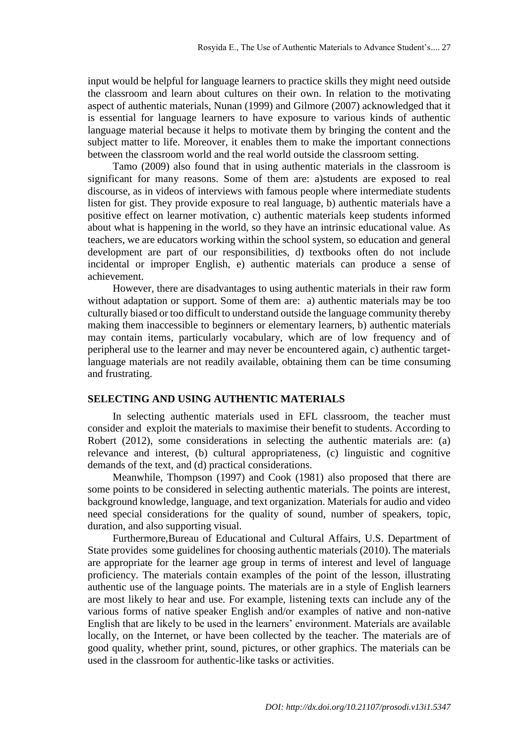input would be helpful for language learners to practice skills they might need outside the classroom and learn about cultures on their own. In relation to the motivating aspect of authentic materials, Nunan (1999) and Gilmore (2007) acknowledged that it is essential for language learners to have exposure to various kinds of authentic language material because it helps to motivate them by bringing the content and the subject matter to life. Moreover, it enables them to make the important connections between the classroom world and the real world outside the classroom setting.

Tamo (2009) also found that in using authentic materials in the classroom is significant for many reasons. Some of them are: a)students are exposed to real discourse, as in videos of interviews with famous people where intermediate students listen for gist. They provide exposure to real language, b) authentic materials have a positive effect on learner motivation, c) authentic materials keep students informed about what is happening in the world, so they have an intrinsic educational value. As teachers, we are educators working within the school system, so education and general development are part of our responsibilities, d) textbooks often do not include incidental or improper English, e) authentic materials can produce a sense of achievement.

However, there are disadvantages to using authentic materials in their raw form without adaptation or support. Some of them are: a) authentic materials may be too culturally biased or too difficult to understand outside the language community thereby making them inaccessible to beginners or elementary learners, b) authentic materials may contain items, particularly vocabulary, which are of low frequency and of peripheral use to the learner and may never be encountered again, c) authentic targetlanguage materials are not readily available, obtaining them can be time consuming and frustrating.

# **SELECTING AND USING AUTHENTIC MATERIALS**

In selecting authentic materials used in EFL classroom, the teacher must consider and exploit the materials to maximise their benefit to students. According to Robert (2012), some considerations in selecting the authentic materials are: (a) relevance and interest, (b) cultural appropriateness, (c) linguistic and cognitive demands of the text, and (d) practical considerations.

Meanwhile, Thompson (1997) and Cook (1981) also proposed that there are some points to be considered in selecting authentic materials. The points are interest, background knowledge, language, and text organization. Materials for audio and video need special considerations for the quality of sound, number of speakers, topic, duration, and also supporting visual.

Furthermore,Bureau of Educational and Cultural Affairs, U.S. Department of State provides some guidelines for choosing authentic materials (2010). The materials are appropriate for the learner age group in terms of interest and level of language proficiency. The materials contain examples of the point of the lesson, illustrating authentic use of the language points. The materials are in a style of English learners are most likely to hear and use. For example, listening texts can include any of the various forms of native speaker English and/or examples of native and non-native English that are likely to be used in the learners' environment. Materials are available locally, on the Internet, or have been collected by the teacher. The materials are of good quality, whether print, sound, pictures, or other graphics. The materials can be used in the classroom for authentic-like tasks or activities.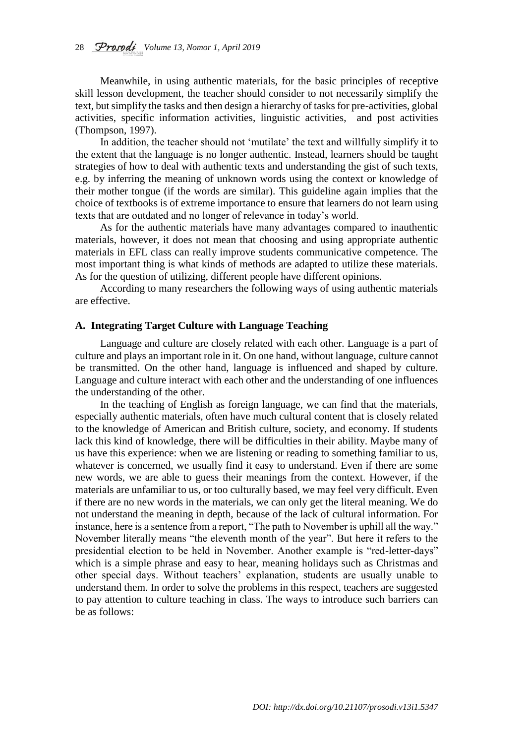Meanwhile, in using authentic materials, for the basic principles of receptive skill lesson development, the teacher should consider to not necessarily simplify the text, but simplify the tasks and then design a hierarchy of tasks for pre-activities, global activities, specific information activities, linguistic activities, and post activities (Thompson, 1997).

In addition, the teacher should not 'mutilate' the text and willfully simplify it to the extent that the language is no longer authentic. Instead, learners should be taught strategies of how to deal with authentic texts and understanding the gist of such texts, e.g. by inferring the meaning of unknown words using the context or knowledge of their mother tongue (if the words are similar). This guideline again implies that the choice of textbooks is of extreme importance to ensure that learners do not learn using texts that are outdated and no longer of relevance in today's world.

As for the authentic materials have many advantages compared to inauthentic materials, however, it does not mean that choosing and using appropriate authentic materials in EFL class can really improve students communicative competence. The most important thing is what kinds of methods are adapted to utilize these materials. As for the question of utilizing, different people have different opinions.

According to many researchers the following ways of using authentic materials are effective.

### **A. Integrating Target Culture with Language Teaching**

Language and culture are closely related with each other. Language is a part of culture and plays an important role in it. On one hand, without language, culture cannot be transmitted. On the other hand, language is influenced and shaped by culture. Language and culture interact with each other and the understanding of one influences the understanding of the other.

In the teaching of English as foreign language, we can find that the materials, especially authentic materials, often have much cultural content that is closely related to the knowledge of American and British culture, society, and economy. If students lack this kind of knowledge, there will be difficulties in their ability. Maybe many of us have this experience: when we are listening or reading to something familiar to us, whatever is concerned, we usually find it easy to understand. Even if there are some new words, we are able to guess their meanings from the context. However, if the materials are unfamiliar to us, or too culturally based, we may feel very difficult. Even if there are no new words in the materials, we can only get the literal meaning. We do not understand the meaning in depth, because of the lack of cultural information. For instance, here is a sentence from a report, "The path to November is uphill all the way." November literally means "the eleventh month of the year". But here it refers to the presidential election to be held in November. Another example is "red-letter-days" which is a simple phrase and easy to hear, meaning holidays such as Christmas and other special days. Without teachers' explanation, students are usually unable to understand them. In order to solve the problems in this respect, teachers are suggested to pay attention to culture teaching in class. The ways to introduce such barriers can be as follows: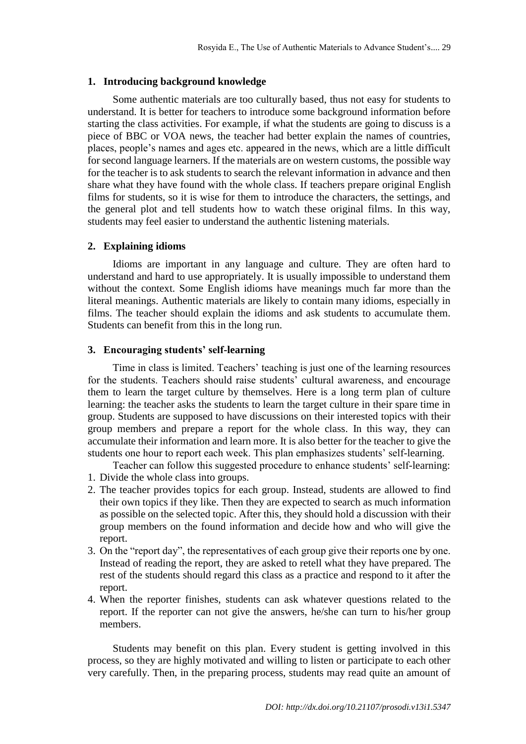# **1. Introducing background knowledge**

Some authentic materials are too culturally based, thus not easy for students to understand. It is better for teachers to introduce some background information before starting the class activities. For example, if what the students are going to discuss is a piece of BBC or VOA news, the teacher had better explain the names of countries, places, people's names and ages etc. appeared in the news, which are a little difficult for second language learners. If the materials are on western customs, the possible way for the teacher is to ask students to search the relevant information in advance and then share what they have found with the whole class. If teachers prepare original English films for students, so it is wise for them to introduce the characters, the settings, and the general plot and tell students how to watch these original films. In this way, students may feel easier to understand the authentic listening materials.

## **2. Explaining idioms**

Idioms are important in any language and culture. They are often hard to understand and hard to use appropriately. It is usually impossible to understand them without the context. Some English idioms have meanings much far more than the literal meanings. Authentic materials are likely to contain many idioms, especially in films. The teacher should explain the idioms and ask students to accumulate them. Students can benefit from this in the long run.

#### **3. Encouraging students' self-learning**

Time in class is limited. Teachers' teaching is just one of the learning resources for the students. Teachers should raise students' cultural awareness, and encourage them to learn the target culture by themselves. Here is a long term plan of culture learning: the teacher asks the students to learn the target culture in their spare time in group. Students are supposed to have discussions on their interested topics with their group members and prepare a report for the whole class. In this way, they can accumulate their information and learn more. It is also better for the teacher to give the students one hour to report each week. This plan emphasizes students' self-learning.

Teacher can follow this suggested procedure to enhance students' self-learning: 1. Divide the whole class into groups.

- 2. The teacher provides topics for each group. Instead, students are allowed to find their own topics if they like. Then they are expected to search as much information as possible on the selected topic. After this, they should hold a discussion with their group members on the found information and decide how and who will give the report.
- 3. On the "report day", the representatives of each group give their reports one by one. Instead of reading the report, they are asked to retell what they have prepared. The rest of the students should regard this class as a practice and respond to it after the report.
- 4. When the reporter finishes, students can ask whatever questions related to the report. If the reporter can not give the answers, he/she can turn to his/her group members.

Students may benefit on this plan. Every student is getting involved in this process, so they are highly motivated and willing to listen or participate to each other very carefully. Then, in the preparing process, students may read quite an amount of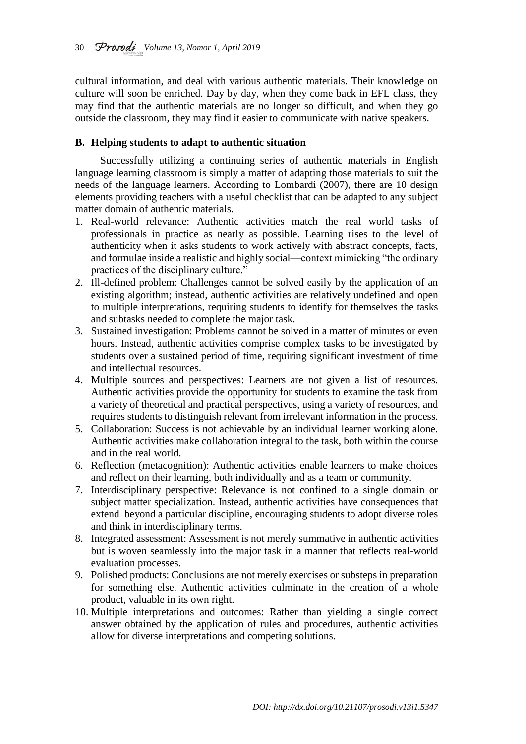cultural information, and deal with various authentic materials. Their knowledge on culture will soon be enriched. Day by day, when they come back in EFL class, they may find that the authentic materials are no longer so difficult, and when they go outside the classroom, they may find it easier to communicate with native speakers.

# **B. Helping students to adapt to authentic situation**

Successfully utilizing a continuing series of authentic materials in English language learning classroom is simply a matter of adapting those materials to suit the needs of the language learners. According to Lombardi (2007), there are 10 design elements providing teachers with a useful checklist that can be adapted to any subject matter domain of authentic materials.

- 1. Real-world relevance: Authentic activities match the real world tasks of professionals in practice as nearly as possible. Learning rises to the level of authenticity when it asks students to work actively with abstract concepts, facts, and formulae inside a realistic and highly social—context mimicking "the ordinary practices of the disciplinary culture."
- 2. Ill-defined problem: Challenges cannot be solved easily by the application of an existing algorithm; instead, authentic activities are relatively undefined and open to multiple interpretations, requiring students to identify for themselves the tasks and subtasks needed to complete the major task.
- 3. Sustained investigation: Problems cannot be solved in a matter of minutes or even hours. Instead, authentic activities comprise complex tasks to be investigated by students over a sustained period of time, requiring significant investment of time and intellectual resources.
- 4. Multiple sources and perspectives: Learners are not given a list of resources. Authentic activities provide the opportunity for students to examine the task from a variety of theoretical and practical perspectives, using a variety of resources, and requires students to distinguish relevant from irrelevant information in the process.
- 5. Collaboration: Success is not achievable by an individual learner working alone. Authentic activities make collaboration integral to the task, both within the course and in the real world.
- 6. Reflection (metacognition): Authentic activities enable learners to make choices and reflect on their learning, both individually and as a team or community.
- 7. Interdisciplinary perspective: Relevance is not confined to a single domain or subject matter specialization. Instead, authentic activities have consequences that extend beyond a particular discipline, encouraging students to adopt diverse roles and think in interdisciplinary terms.
- 8. Integrated assessment: Assessment is not merely summative in authentic activities but is woven seamlessly into the major task in a manner that reflects real-world evaluation processes.
- 9. Polished products: Conclusions are not merely exercises or substeps in preparation for something else. Authentic activities culminate in the creation of a whole product, valuable in its own right.
- 10. Multiple interpretations and outcomes: Rather than yielding a single correct answer obtained by the application of rules and procedures, authentic activities allow for diverse interpretations and competing solutions.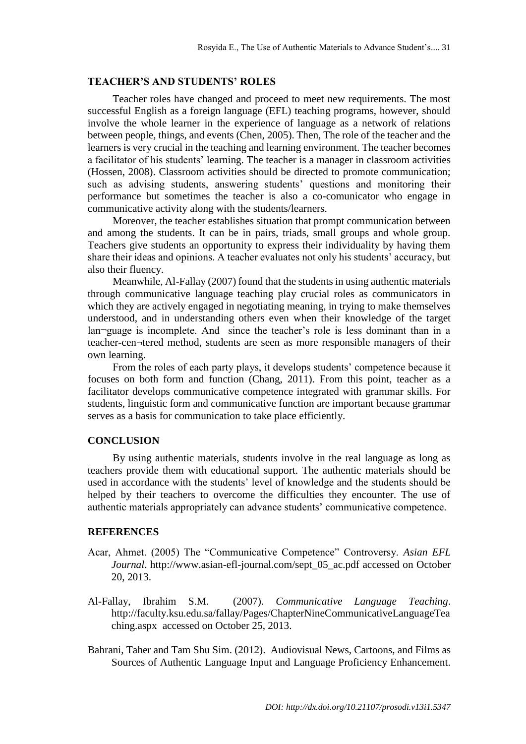## **TEACHER'S AND STUDENTS' ROLES**

Teacher roles have changed and proceed to meet new requirements. The most successful English as a foreign language (EFL) teaching programs, however, should involve the whole learner in the experience of language as a network of relations between people, things, and events (Chen, 2005). Then, The role of the teacher and the learners is very crucial in the teaching and learning environment. The teacher becomes a facilitator of his students' learning. The teacher is a manager in classroom activities (Hossen, 2008). Classroom activities should be directed to promote communication; such as advising students, answering students' questions and monitoring their performance but sometimes the teacher is also a co-comunicator who engage in communicative activity along with the students/learners.

Moreover, the teacher establishes situation that prompt communication between and among the students. It can be in pairs, triads, small groups and whole group. Teachers give students an opportunity to express their individuality by having them share their ideas and opinions. A teacher evaluates not only his students' accuracy, but also their fluency.

Meanwhile, Al-Fallay (2007) found that the students in using authentic materials through communicative language teaching play crucial roles as communicators in which they are actively engaged in negotiating meaning, in trying to make themselves understood, and in understanding others even when their knowledge of the target lan-guage is incomplete. And since the teacher's role is less dominant than in a teacher-cen¬tered method, students are seen as more responsible managers of their own learning.

From the roles of each party plays, it develops students' competence because it focuses on both form and function (Chang, 2011). From this point, teacher as a facilitator develops communicative competence integrated with grammar skills. For students, linguistic form and communicative function are important because grammar serves as a basis for communication to take place efficiently.

## **CONCLUSION**

By using authentic materials, students involve in the real language as long as teachers provide them with educational support. The authentic materials should be used in accordance with the students' level of knowledge and the students should be helped by their teachers to overcome the difficulties they encounter. The use of authentic materials appropriately can advance students' communicative competence.

# **REFERENCES**

- Acar, Ahmet. (2005) The "Communicative Competence" Controversy. *Asian EFL Journal*. [http://www.asian-efl-journal.com/sept\\_05\\_ac.pdf](http://www.asian-efl-journal.com/sept_05_ac.pdf) accessed on October 20, 2013.
- Al-Fallay, Ibrahim S.M. (2007). *Communicative Language Teaching*. [http://faculty.ksu.edu.sa/fallay/Pages/ChapterNineCommunicativeLanguageTea](http://faculty.ksu.edu.sa/fallay/Pages/ChapterNineCommunicativeLanguageTeaching.aspx) [ching.aspx](http://faculty.ksu.edu.sa/fallay/Pages/ChapterNineCommunicativeLanguageTeaching.aspx) accessed on October 25, 2013.
- Bahrani, Taher and Tam Shu Sim. (2012). Audiovisual News, Cartoons, and Films as Sources of Authentic Language Input and Language Proficiency Enhancement.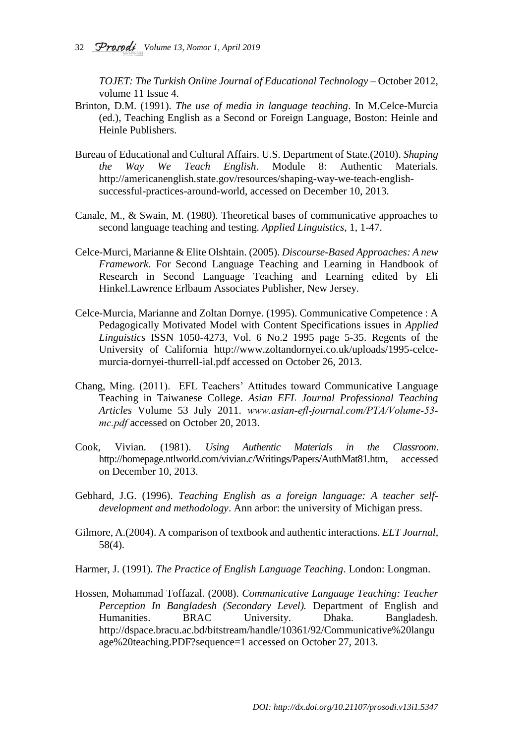*TOJET: The Turkish Online Journal of Educational Technology* – October 2012, volume 11 Issue 4.

- Brinton, D.M. (1991). *The use of media in language teaching*. In M.Celce-Murcia (ed.), Teaching English as a Second or Foreign Language, Boston: Heinle and Heinle Publishers.
- Bureau of Educational and Cultural Affairs. U.S. Department of State.(2010). *Shaping the Way We Teach English*. Module 8: Authentic Materials. [http://americanenglish.state.gov/resources/shaping-way-we-teach-english](http://americanenglish.state.gov/resources/shaping-way-we-teach-english-successful-practices-around-world)[successful-practices-around-world,](http://americanenglish.state.gov/resources/shaping-way-we-teach-english-successful-practices-around-world) accessed on December 10, 2013.
- Canale, M., & Swain, M. (1980). Theoretical bases of communicative approaches to second language teaching and testing. *Applied Linguistics,* 1, 1-47.
- Celce-Murci, Marianne & Elite Olshtain. (2005). *Discourse-Based Approaches: A new Framework*. For Second Language Teaching and Learning in Handbook of Research in Second Language Teaching and Learning edited by Eli Hinkel.Lawrence Erlbaum Associates Publisher, New Jersey.
- Celce-Murcia, Marianne and Zoltan Dornye. (1995). Communicative Competence : A Pedagogically Motivated Model with Content Specifications issues in *Applied Linguistics* ISSN 1050-4273, Vol. 6 No.2 1995 page 5-35. Regents of the University of California [http://www.zoltandornyei.co.uk/uploads/1995-celce](http://www.zoltandornyei.co.uk/uploads/1995-celce-murcia-dornyei-thurrell-ial.pdf)[murcia-dornyei-thurrell-ial.pdf](http://www.zoltandornyei.co.uk/uploads/1995-celce-murcia-dornyei-thurrell-ial.pdf) accessed on October 26, 2013.
- Chang, Ming. (2011). EFL Teachers' Attitudes toward Communicative Language Teaching in Taiwanese College. *Asian EFL Journal Professional Teaching Articles* Volume 53 July 2011. *www.asian-efl-journal.com/PTA/Volume-53 mc.pdf* accessed on October 20, 2013.
- Cook, Vivian. (1981). *Using Authentic Materials in the Classroom*. [http://homepage.ntlworld.com/vivian.c/Writings/Papers/AuthMat81.htm,](http://homepage.ntlworld.com/vivian.c/Writings/Papers/AuthMat81.htm) accessed on December 10, 2013.
- Gebhard, J.G. (1996). *Teaching English as a foreign language: A teacher selfdevelopment and methodology*. Ann arbor: the university of Michigan press.
- Gilmore, A.(2004). A comparison of textbook and authentic interactions. *ELT Journal*, 58(4).
- Harmer, J. (1991). *The Practice of English Language Teaching*. London: Longman.
- Hossen, Mohammad Toffazal. (2008). *Communicative Language Teaching: Teacher Perception In Bangladesh (Secondary Level).* Department of English and Humanities. BRAC University. Dhaka. Bangladesh. [http://dspace.bracu.ac.bd/bitstream/handle/10361/92/Communicative%20langu](http://dspace.bracu.ac.bd/bitstream/handle/10361/92/Communicative%20language%20teaching.PDF?sequence=1) [age%20teaching.PDF?sequence=1](http://dspace.bracu.ac.bd/bitstream/handle/10361/92/Communicative%20language%20teaching.PDF?sequence=1) accessed on October 27, 2013.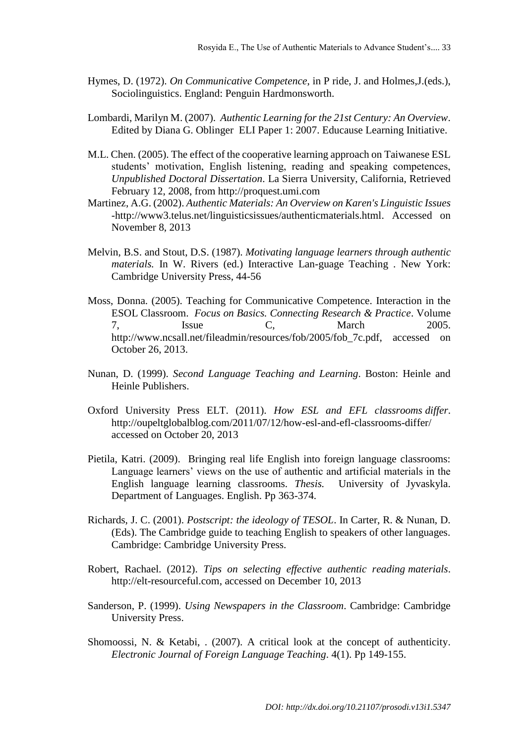- Hymes, D. (1972). *On Communicative Competence*, in P ride, J. and Holmes,J.(eds.), Sociolinguistics. England: Penguin Hardmonsworth.
- Lombardi, Marilyn M. (2007). *Authentic Learning for the 21st Century: An Overview*. Edited by Diana G. Oblinger ELI Paper 1: 2007. Educause Learning Initiative.
- M.L. Chen. (2005). The effect of the cooperative learning approach on Taiwanese ESL students' motivation, English listening, reading and speaking competences, *Unpublished Doctoral Dissertation*. La Sierra University, California, Retrieved February 12, 2008, from [http://proquest.umi.com](http://proquest.umi.com/)
- Martinez, A.G. (2002). *Authentic Materials: An Overview on Karen's Linguistic Issues -*[http://www3.telus.net/linguisticsissues/authenticmaterials.html.](http://www3.telus.net/linguisticsissues/authenticmaterials.html) Accessed on November 8, 2013
- Melvin, B.S. and Stout, D.S. (1987). *Motivating language learners through authentic materials.* In W. Rivers (ed.) Interactive Lan-guage Teaching . New York: Cambridge University Press, 44-56
- Moss, Donna. (2005). Teaching for Communicative Competence. Interaction in the ESOL Classroom. *Focus on Basics. Connecting Research & Practice*. Volume 7, Issue C, March 2005. [http://www.ncsall.net/fileadmin/resources/fob/2005/fob\\_7c.pdf,](http://www.ncsall.net/fileadmin/resources/fob/2005/fob_7c.pdf) accessed on October 26, 2013.
- Nunan, D. (1999). *Second Language Teaching and Learning*. Boston: Heinle and Heinle Publishers.
- Oxford University Press ELT. (2011). *How ESL and EFL classrooms differ*. <http://oupeltglobalblog.com/2011/07/12/how-esl-and-efl-classrooms-differ/> accessed on October 20, 2013
- Pietila, Katri. (2009). Bringing real life English into foreign language classrooms: Language learners' views on the use of authentic and artificial materials in the English language learning classrooms. *Thesis.* University of Jyvaskyla. Department of Languages. English. Pp 363-374.
- Richards, J. C. (2001). *Postscript: the ideology of TESOL*. In Carter, R. & Nunan, D. (Eds). The Cambridge guide to teaching English to speakers of other languages. Cambridge: Cambridge University Press.
- Robert, Rachael. (2012). *[Tips on selecting effective authentic reading](http://elt-resourceful.com/2012/03/26/tips-on-selecting-effective-authentic-reading-materials/) materials*. [http://elt-resourceful.com,](http://elt-resourceful.com/) accessed on December 10, 2013
- Sanderson, P. (1999). *Using Newspapers in the Classroom*. Cambridge: Cambridge University Press.
- Shomoossi, N. & Ketabi, . (2007). A critical look at the concept of authenticity. *Electronic Journal of Foreign Language Teaching*. 4(1). Pp 149-155.